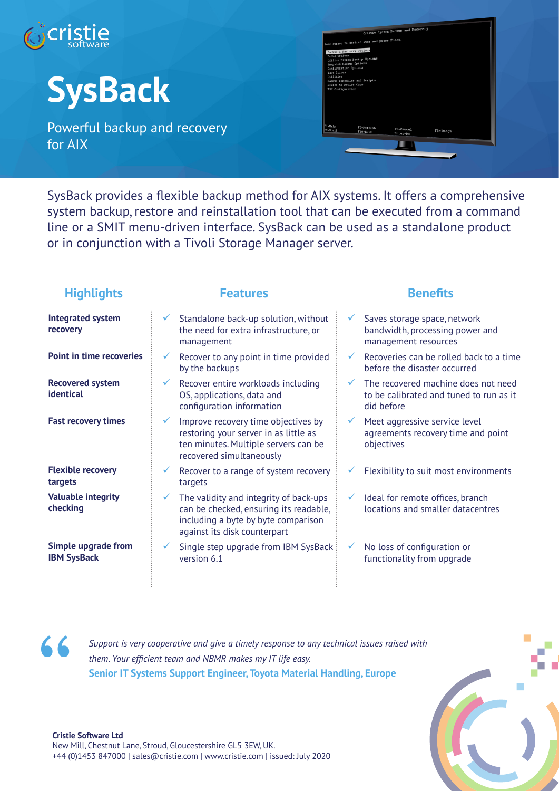

# **SysBack**

Powerful backup and recovery for AIX



SysBack provides a flexible backup method for AIX systems. It offers a comprehensive system backup, restore and reinstallation tool that can be executed from a command line or a SMIT menu-driven interface. SysBack can be used as a standalone product or in conjunction with a Tivoli Storage Manager server.

# **Highlights Features Benefits**

| <b>Integrated system</b><br>recovery      | Standalone back-up solution, without<br>Saves storage space, network<br>the need for extra infrastructure, or<br>management resources<br>management                                                                  | bandwidth, processing power and                                                |
|-------------------------------------------|----------------------------------------------------------------------------------------------------------------------------------------------------------------------------------------------------------------------|--------------------------------------------------------------------------------|
| <b>Point in time recoveries</b>           | Recover to any point in time provided<br>$\checkmark$<br>$\checkmark$<br>by the backups<br>before the disaster occurred                                                                                              | Recoveries can be rolled back to a time                                        |
| <b>Recovered system</b><br>identical      | Recover entire workloads including<br>$\checkmark$<br>$\checkmark$<br>OS, applications, data and<br>configuration information<br>did before                                                                          | The recovered machine does not need<br>to be calibrated and tuned to run as it |
| <b>Fast recovery times</b>                | Improve recovery time objectives by<br>$\checkmark$<br>Meet aggressive service level<br>✓<br>restoring your server in as little as<br>ten minutes. Multiple servers can be<br>objectives<br>recovered simultaneously | agreements recovery time and point                                             |
| <b>Flexible recovery</b><br>targets       | Recover to a range of system recovery<br>targets                                                                                                                                                                     | Flexibility to suit most environments                                          |
| <b>Valuable integrity</b><br>checking     | The validity and integrity of back-ups<br>Ideal for remote offices, branch<br>$\checkmark$<br>can be checked, ensuring its readable,<br>including a byte by byte comparison<br>against its disk counterpart          | locations and smaller datacentres                                              |
| Simple upgrade from<br><b>IBM SysBack</b> | Single step upgrade from IBM SysBack<br>No loss of configuration or<br>$\checkmark$<br>version 6.1<br>functionality from upgrade                                                                                     |                                                                                |



*Support is very cooperative and give a timely response to any technical issues raised with them. Your efficient team and NBMR makes my IT life easy.* **Senior IT Systems Support Engineer, Toyota Material Handling, Europe**